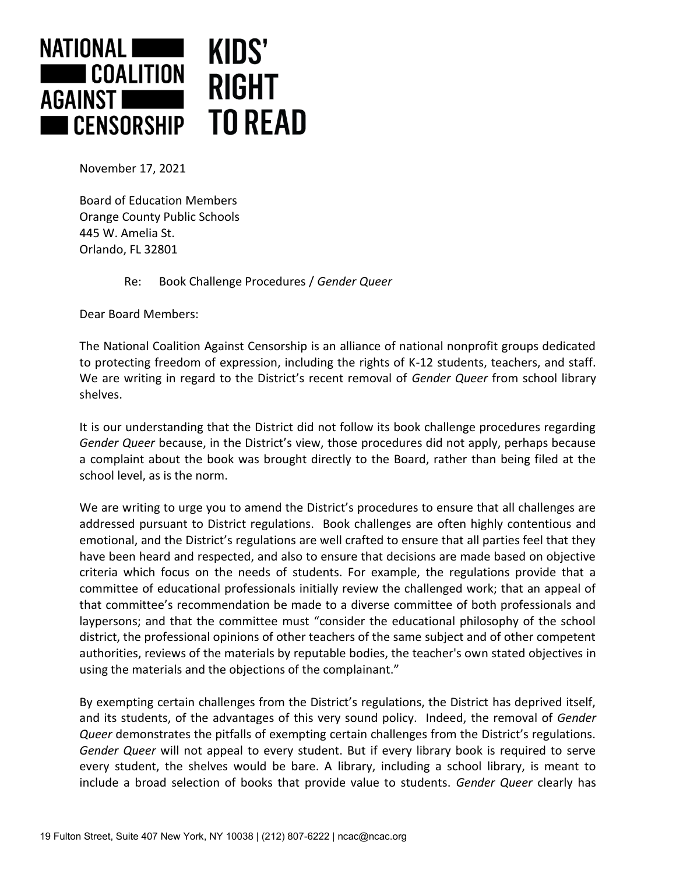

November 17, 2021

Board of Education Members Orange County Public Schools 445 W. Amelia St. Orlando, FL 32801

Re: Book Challenge Procedures / *Gender Queer*

Dear Board Members:

The National Coalition Against Censorship is an alliance of national nonprofit groups dedicated to protecting freedom of expression, including the rights of K-12 students, teachers, and staff. We are writing in regard to the District's recent removal of *Gender Queer* from school library shelves.

It is our understanding that the District did not follow its book challenge procedures regarding *Gender Queer* because, in the District's view, those procedures did not apply, perhaps because a complaint about the book was brought directly to the Board, rather than being filed at the school level, as is the norm.

We are writing to urge you to amend the District's procedures to ensure that all challenges are addressed pursuant to District regulations. Book challenges are often highly contentious and emotional, and the District's regulations are well crafted to ensure that all parties feel that they have been heard and respected, and also to ensure that decisions are made based on objective criteria which focus on the needs of students. For example, the regulations provide that a committee of educational professionals initially review the challenged work; that an appeal of that committee's recommendation be made to a diverse committee of both professionals and laypersons; and that the committee must "consider the educational philosophy of the school district, the professional opinions of other teachers of the same subject and of other competent authorities, reviews of the materials by reputable bodies, the teacher's own stated objectives in using the materials and the objections of the complainant."

By exempting certain challenges from the District's regulations, the District has deprived itself, and its students, of the advantages of this very sound policy. Indeed, the removal of *Gender Queer* demonstrates the pitfalls of exempting certain challenges from the District's regulations. *Gender Queer* will not appeal to every student. But if every library book is required to serve every student, the shelves would be bare. A library, including a school library, is meant to include a broad selection of books that provide value to students. *Gender Queer* clearly has